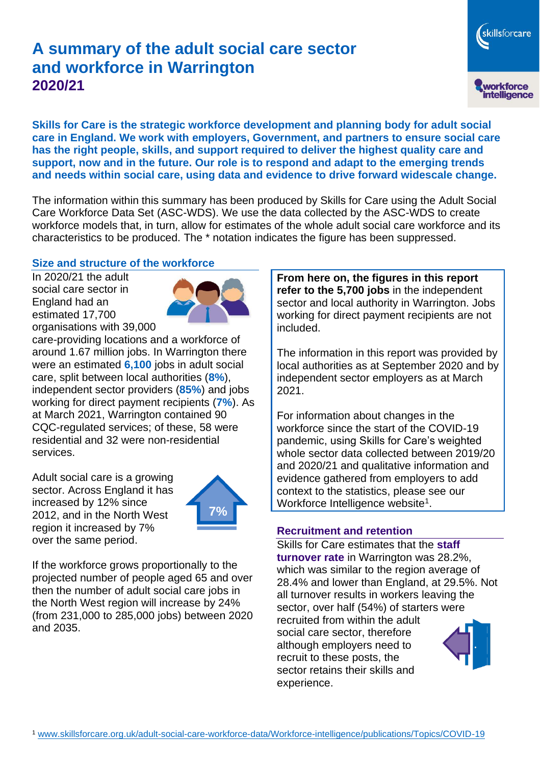# **A summary of the adult social care sector and workforce in Warrington 2020/21**

**Skills for Care is the strategic workforce development and planning body for adult social care in England. We work with employers, Government, and partners to ensure social care has the right people, skills, and support required to deliver the highest quality care and support, now and in the future. Our role is to respond and adapt to the emerging trends and needs within social care, using data and evidence to drive forward widescale change.**

The information within this summary has been produced by Skills for Care using the Adult Social Care Workforce Data Set (ASC-WDS). We use the data collected by the ASC-WDS to create workforce models that, in turn, allow for estimates of the whole adult social care workforce and its characteristics to be produced. The \* notation indicates the figure has been suppressed.

#### **Size and structure of the workforce**

In 2020/21 the adult social care sector in England had an estimated 17,700 organisations with 39,000



care-providing locations and a workforce of around 1.67 million jobs. In Warrington there were an estimated **6,100** jobs in adult social care, split between local authorities (**8%**), independent sector providers (**85%**) and jobs working for direct payment recipients (**7%**). As at March 2021, Warrington contained 90 CQC-regulated services; of these, 58 were residential and 32 were non-residential services.

Adult social care is a growing sector. Across England it has increased by 12% since 2012, and in the North West region it increased by 7% over the same period.



If the workforce grows proportionally to the projected number of people aged 65 and over then the number of adult social care jobs in the North West region will increase by 24% (from 231,000 to 285,000 jobs) between 2020 and 2035.

**From here on, the figures in this report refer to the 5,700 jobs** in the independent sector and local authority in Warrington. Jobs working for direct payment recipients are not included.

skillsforcare

workforce<br>intelligence

The information in this report was provided by local authorities as at September 2020 and by independent sector employers as at March 2021.

For information about changes in the workforce since the start of the COVID-19 pandemic, using Skills for Care's weighted whole sector data collected between 2019/20 and 2020/21 and qualitative information and evidence gathered from employers to add context to the statistics, please see our Workforce Intelligence website<sup>1</sup>.

#### **Recruitment and retention**

Skills for Care estimates that the **staff turnover rate** in Warrington was 28.2%, which was similar to the region average of 28.4% and lower than England, at 29.5%. Not all turnover results in workers leaving the sector, over half (54%) of starters were recruited from within the adult social care sector, therefore although employers need to recruit to these posts, the sector retains their skills and experience.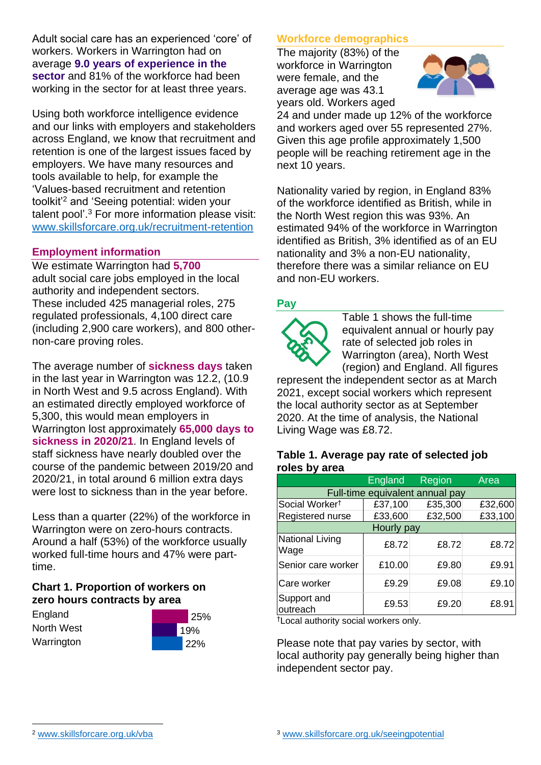Adult social care has an experienced 'core' of workers. Workers in Warrington had on average **9.0 years of experience in the sector** and 81% of the workforce had been working in the sector for at least three years.

Using both workforce intelligence evidence and our links with employers and stakeholders across England, we know that recruitment and retention is one of the largest issues faced by employers. We have many resources and tools available to help, for example the 'Values-based recruitment and retention toolkit'<sup>2</sup> and 'Seeing potential: widen your talent pool'. <sup>3</sup> For more information please visit: [www.skillsforcare.org.uk/recruitment-retention](http://www.skillsforcare.org.uk/recruitment-retention)

#### **Employment information**

We estimate Warrington had **5,700** adult social care jobs employed in the local authority and independent sectors. These included 425 managerial roles, 275 regulated professionals, 4,100 direct care (including 2,900 care workers), and 800 othernon-care proving roles.

The average number of **sickness days** taken in the last year in Warrington was 12.2, (10.9 in North West and 9.5 across England). With an estimated directly employed workforce of 5,300, this would mean employers in Warrington lost approximately **65,000 days to sickness in 2020/21**. In England levels of staff sickness have nearly doubled over the course of the pandemic between 2019/20 and 2020/21, in total around 6 million extra days were lost to sickness than in the year before.

Less than a quarter (22%) of the workforce in Warrington were on zero-hours contracts. Around a half (53%) of the workforce usually worked full-time hours and 47% were parttime.

### **Chart 1. Proportion of workers on zero hours contracts by area**

**England** North West Warrington



### **Workforce demographics**

The majority (83%) of the workforce in Warrington were female, and the average age was 43.1 years old. Workers aged



24 and under made up 12% of the workforce and workers aged over 55 represented 27%. Given this age profile approximately 1,500 people will be reaching retirement age in the next 10 years.

Nationality varied by region, in England 83% of the workforce identified as British, while in the North West region this was 93%. An estimated 94% of the workforce in Warrington identified as British, 3% identified as of an EU nationality and 3% a non-EU nationality, therefore there was a similar reliance on EU and non-EU workers.

### **Pay**



Table 1 shows the full-time equivalent annual or hourly pay rate of selected job roles in Warrington (area), North West (region) and England. All figures

represent the independent sector as at March 2021, except social workers which represent the local authority sector as at September 2020. At the time of analysis, the National Living Wage was £8.72.

#### **Table 1. Average pay rate of selected job roles by area**

|                                 | <b>England</b> | Region  | Area    |
|---------------------------------|----------------|---------|---------|
| Full-time equivalent annual pay |                |         |         |
| Social Worker <sup>t</sup>      | £37,100        | £35,300 | £32,600 |
| Registered nurse                | £33,600        | £32,500 | £33,100 |
| Hourly pay                      |                |         |         |
| National Living<br>Wage         | £8.72          | £8.72   | £8.72   |
| Senior care worker              | £10.00         | £9.80   | £9.91   |
| Care worker                     | £9.29          | £9.08   | £9.10   |
| Support and<br>outreach         | £9.53          | £9.20   | £8.91   |

†Local authority social workers only.

Please note that pay varies by sector, with local authority pay generally being higher than independent sector pay.

[www.skillsforcare.org.uk/vba](http://www.skillsforcare.org.uk/vba)